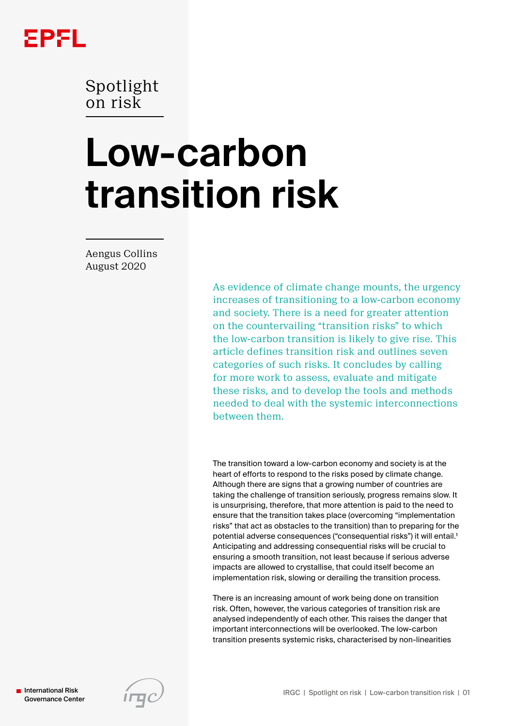

Spotlight on risk

# **Low-carbon transition risk**

Aengus Collins August 2020

> As evidence of climate change mounts, the urgency increases of transitioning to a low-carbon economy and society. There is a need for greater attention on the countervailing "transition risks" to which the low-carbon transition is likely to give rise. This article defines transition risk and outlines seven categories of such risks. It concludes by calling for more work to assess, evaluate and mitigate these risks, and to develop the tools and methods needed to deal with the systemic interconnections between them.

> The transition toward a low-carbon economy and society is at the heart of efforts to respond to the risks posed by climate change. Although there are signs that a growing number of countries are taking the challenge of transition seriously, progress remains slow. It is unsurprising, therefore, that more attention is paid to the need to ensure that the transition takes place (overcoming "implementation risks" that act as obstacles to the transition) than to preparing for the potential adverse consequences ("consequential risks") it will entail.<sup>1</sup> Anticipating and addressing consequential risks will be crucial to ensuring a smooth transition, not least because if serious adverse impacts are allowed to crystallise, that could itself become an implementation risk, slowing or derailing the transition process.

There is an increasing amount of work being done on transition risk. Often, however, the various categories of transition risk are analysed independently of each other. This raises the danger that important interconnections will be overlooked. The low-carbon transition presents systemic risks, characterised by non-linearities

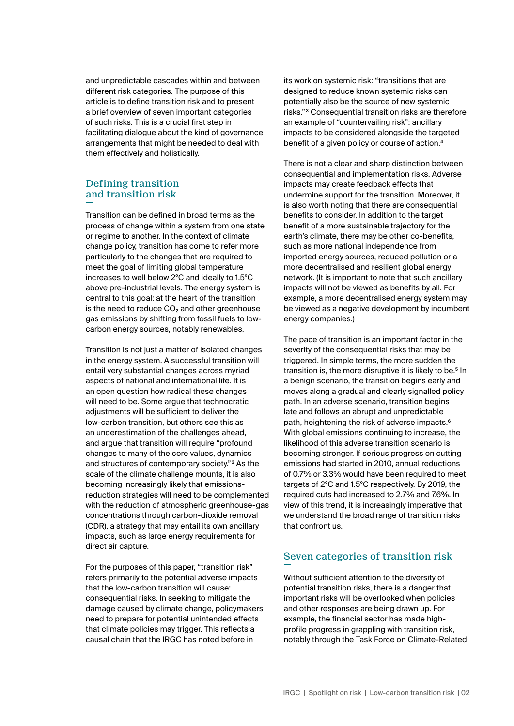and unpredictable cascades within and between different risk categories. The purpose of this article is to define transition risk and to present a brief overview of seven important categories of such risks. This is a crucial first step in facilitating dialogue about the kind of governance arrangements that might be needed to deal with them effectively and holistically.

# Defining transition and transition risk

Transition can be defined in broad terms as the process of change within a system from one state or regime to another. In the context of climate change policy, transition has come to refer more particularly to the changes that are required to meet the goal of limiting global temperature increases to well below 2°C and ideally to 1.5°C above pre-industrial levels. The energy system is central to this goal: at the heart of the transition is the need to reduce  $CO<sub>2</sub>$  and other greenhouse gas emissions by shifting from fossil fuels to lowcarbon energy sources, notably renewables.

Transition is not just a matter of isolated changes in the energy system. A successful transition will entail very substantial changes across myriad aspects of national and international life. It is an open question how radical these changes will need to be. Some argue that technocratic adjustments will be sufficient to deliver the low-carbon transition, but others see this as an underestimation of the challenges ahead, and argue that transition will require "profound changes to many of the core values, dynamics and structures of contemporary society."2 As the scale of the climate challenge mounts, it is also becoming increasingly likely that emissionsreduction strategies will need to be complemented with the reduction of atmospheric greenhouse-gas concentrations through carbon-dioxide removal (CDR), a strategy that may entail its own ancillary impacts, such as larqe energy requirements for direct air capture.

For the purposes of this paper, "transition risk" refers primarily to the potential adverse impacts that the low-carbon transition will cause: consequential risks. In seeking to mitigate the damage caused by climate change, policymakers need to prepare for potential unintended effects that climate policies may trigger. This reflects a causal chain that the IRGC has noted before in

its work on systemic risk: "transitions that are designed to reduce known systemic risks can potentially also be the source of new systemic risks."3 Consequential transition risks are therefore an example of "countervailing risk": ancillary impacts to be considered alongside the targeted benefit of a given policy or course of action.<sup>4</sup>

There is not a clear and sharp distinction between consequential and implementation risks. Adverse impacts may create feedback effects that undermine support for the transition. Moreover, it is also worth noting that there are consequential benefits to consider. In addition to the target benefit of a more sustainable trajectory for the earth's climate, there may be other co-benefits, such as more national independence from imported energy sources, reduced pollution or a more decentralised and resilient global energy network. (It is important to note that such ancillary impacts will not be viewed as benefits by all. For example, a more decentralised energy system may be viewed as a negative development by incumbent energy companies.)

The pace of transition is an important factor in the severity of the consequential risks that may be triggered. In simple terms, the more sudden the transition is, the more disruptive it is likely to be.<sup>5</sup> In a benign scenario, the transition begins early and moves along a gradual and clearly signalled policy path. In an adverse scenario, transition begins late and follows an abrupt and unpredictable path, heightening the risk of adverse impacts.6 With global emissions continuing to increase, the likelihood of this adverse transition scenario is becoming stronger. If serious progress on cutting emissions had started in 2010, annual reductions of 0.7% or 3.3% would have been required to meet targets of 2°C and 1.5°C respectively. By 2019, the required cuts had increased to 2.7% and 7.6%. In view of this trend, it is increasingly imperative that we understand the broad range of transition risks that confront us.

# Seven categories of transition risk

Without sufficient attention to the diversity of potential transition risks, there is a danger that important risks will be overlooked when policies and other responses are being drawn up. For example, the financial sector has made highprofile progress in grappling with transition risk, notably through the Task Force on Climate-Related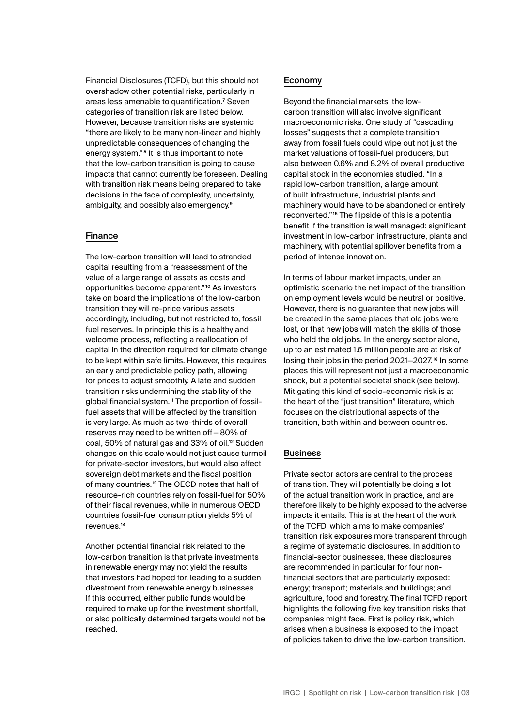Financial Disclosures (TCFD), but this should not overshadow other potential risks, particularly in areas less amenable to quantification.<sup>7</sup> Seven categories of transition risk are listed below. However, because transition risks are systemic "there are likely to be many non-linear and highly unpredictable consequences of changing the energy system."8 It is thus important to note that the low-carbon transition is going to cause impacts that cannot currently be foreseen. Dealing with transition risk means being prepared to take decisions in the face of complexity, uncertainty, ambiguity, and possibly also emergency.9

#### Finance

The low-carbon transition will lead to stranded capital resulting from a "reassessment of the value of a large range of assets as costs and opportunities become apparent."10 As investors take on board the implications of the low-carbon transition they will re-price various assets accordingly, including, but not restricted to, fossil fuel reserves. In principle this is a healthy and welcome process, reflecting a reallocation of capital in the direction required for climate change to be kept within safe limits. However, this requires an early and predictable policy path, allowing for prices to adjust smoothly. A late and sudden transition risks undermining the stability of the global financial system.<sup>11</sup> The proportion of fossilfuel assets that will be affected by the transition is very large. As much as two-thirds of overall reserves may need to be written off—80% of coal, 50% of natural gas and 33% of oil.<sup>12</sup> Sudden changes on this scale would not just cause turmoil for private-sector investors, but would also affect sovereign debt markets and the fiscal position of many countries.13 The OECD notes that half of resource-rich countries rely on fossil-fuel for 50% of their fiscal revenues, while in numerous OECD countries fossil-fuel consumption yields 5% of revenues.14

Another potential financial risk related to the low-carbon transition is that private investments in renewable energy may not yield the results that investors had hoped for, leading to a sudden divestment from renewable energy businesses. If this occurred, either public funds would be required to make up for the investment shortfall, or also politically determined targets would not be reached.

#### Economy

Beyond the financial markets, the lowcarbon transition will also involve significant macroeconomic risks. One study of "cascading losses" suggests that a complete transition away from fossil fuels could wipe out not just the market valuations of fossil-fuel producers, but also between 0.6% and 8.2% of overall productive capital stock in the economies studied. "In a rapid low-carbon transition, a large amount of built infrastructure, industrial plants and machinery would have to be abandoned or entirely reconverted."15 The flipside of this is a potential benefit if the transition is well managed: significant investment in low-carbon infrastructure, plants and machinery, with potential spillover benefits from a period of intense innovation.

In terms of labour market impacts, under an optimistic scenario the net impact of the transition on employment levels would be neutral or positive. However, there is no guarantee that new jobs will be created in the same places that old jobs were lost, or that new jobs will match the skills of those who held the old jobs. In the energy sector alone, up to an estimated 1.6 million people are at risk of losing their jobs in the period 2021-2027.<sup>16</sup> In some places this will represent not just a macroeconomic shock, but a potential societal shock (see below). Mitigating this kind of socio-economic risk is at the heart of the "just transition" literature, which focuses on the distributional aspects of the transition, both within and between countries.

#### Business

Private sector actors are central to the process of transition. They will potentially be doing a lot of the actual transition work in practice, and are therefore likely to be highly exposed to the adverse impacts it entails. This is at the heart of the work of the TCFD, which aims to make companies' transition risk exposures more transparent through a regime of systematic disclosures. In addition to financial-sector businesses, these disclosures are recommended in particular for four nonfinancial sectors that are particularly exposed: energy; transport; materials and buildings; and agriculture, food and forestry. The final TCFD report highlights the following five key transition risks that companies might face. First is policy risk, which arises when a business is exposed to the impact of policies taken to drive the low-carbon transition.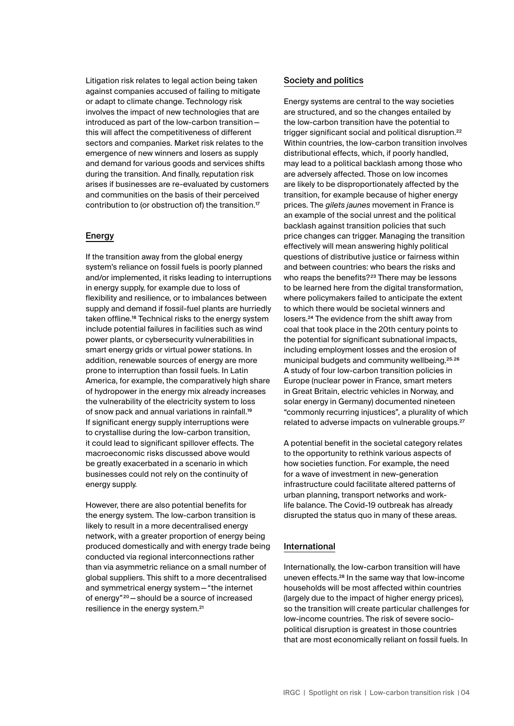Litigation risk relates to legal action being taken against companies accused of failing to mitigate or adapt to climate change. Technology risk involves the impact of new technologies that are introduced as part of the low-carbon transition this will affect the competitiveness of different sectors and companies. Market risk relates to the emergence of new winners and losers as supply and demand for various goods and services shifts during the transition. And finally, reputation risk arises if businesses are re-evaluated by customers and communities on the basis of their perceived contribution to (or obstruction of) the transition.17

## Energy

If the transition away from the global energy system's reliance on fossil fuels is poorly planned and/or implemented, it risks leading to interruptions in energy supply, for example due to loss of flexibility and resilience, or to imbalances between supply and demand if fossil-fuel plants are hurriedly taken offline.18 Technical risks to the energy system include potential failures in facilities such as wind power plants, or cybersecurity vulnerabilities in smart energy grids or virtual power stations. In addition, renewable sources of energy are more prone to interruption than fossil fuels. In Latin America, for example, the comparatively high share of hydropower in the energy mix already increases the vulnerability of the electricity system to loss of snow pack and annual variations in rainfall.19 If significant energy supply interruptions were to crystallise during the low-carbon transition, it could lead to significant spillover effects. The macroeconomic risks discussed above would be greatly exacerbated in a scenario in which businesses could not rely on the continuity of energy supply.

However, there are also potential benefits for the energy system. The low-carbon transition is likely to result in a more decentralised energy network, with a greater proportion of energy being produced domestically and with energy trade being conducted via regional interconnections rather than via asymmetric reliance on a small number of global suppliers. This shift to a more decentralised and symmetrical energy system—"the internet of energy"20—should be a source of increased resilience in the energy system.<sup>21</sup>

### Society and politics

Energy systems are central to the way societies are structured, and so the changes entailed by the low-carbon transition have the potential to trigger significant social and political disruption.<sup>22</sup> Within countries, the low-carbon transition involves distributional effects, which, if poorly handled, may lead to a political backlash among those who are adversely affected. Those on low incomes are likely to be disproportionately affected by the transition, for example because of higher energy prices. The *gilets jaunes* movement in France is an example of the social unrest and the political backlash against transition policies that such price changes can trigger. Managing the transition effectively will mean answering highly political questions of distributive justice or fairness within and between countries: who bears the risks and who reaps the benefits?<sup>23</sup> There may be lessons to be learned here from the digital transformation, where policymakers failed to anticipate the extent to which there would be societal winners and losers.24 The evidence from the shift away from coal that took place in the 20th century points to the potential for significant subnational impacts, including employment losses and the erosion of municipal budgets and community wellbeing.25, 26 A study of four low-carbon transition policies in Europe (nuclear power in France, smart meters in Great Britain, electric vehicles in Norway, and solar energy in Germany) documented nineteen "commonly recurring injustices", a plurality of which related to adverse impacts on vulnerable groups.<sup>27</sup>

A potential benefit in the societal category relates to the opportunity to rethink various aspects of how societies function. For example, the need for a wave of investment in new-generation infrastructure could facilitate altered patterns of urban planning, transport networks and worklife balance. The Covid-19 outbreak has already disrupted the status quo in many of these areas.

## International

Internationally, the low-carbon transition will have uneven effects.28 In the same way that low-income households will be most affected within countries (largely due to the impact of higher energy prices), so the transition will create particular challenges for low-income countries. The risk of severe sociopolitical disruption is greatest in those countries that are most economically reliant on fossil fuels. In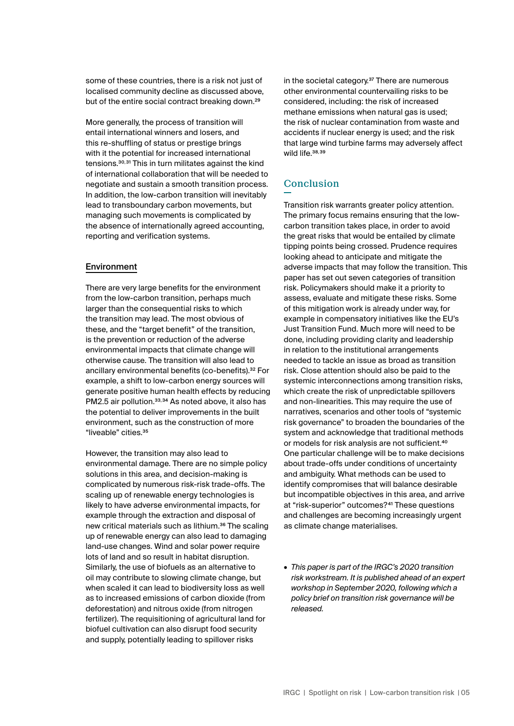some of these countries, there is a risk not just of localised community decline as discussed above, but of the entire social contract breaking down.<sup>29</sup>

More generally, the process of transition will entail international winners and losers, and this re-shuffling of status or prestige brings with it the potential for increased international tensions.30, 31 This in turn militates against the kind of international collaboration that will be needed to negotiate and sustain a smooth transition process. In addition, the low-carbon transition will inevitably lead to transboundary carbon movements, but managing such movements is complicated by the absence of internationally agreed accounting, reporting and verification systems.

## Environment

There are very large benefits for the environment from the low-carbon transition, perhaps much larger than the consequential risks to which the transition may lead. The most obvious of these, and the "target benefit" of the transition, is the prevention or reduction of the adverse environmental impacts that climate change will otherwise cause. The transition will also lead to ancillary environmental benefits (co-benefits).32 For example, a shift to low-carbon energy sources will generate positive human health effects by reducing PM2.5 air pollution.33, 34 As noted above, it also has the potential to deliver improvements in the built environment, such as the construction of more "liveable" cities.35

However, the transition may also lead to environmental damage. There are no simple policy solutions in this area, and decision-making is complicated by numerous risk-risk trade-offs. The scaling up of renewable energy technologies is likely to have adverse environmental impacts, for example through the extraction and disposal of new critical materials such as lithium.36 The scaling up of renewable energy can also lead to damaging land-use changes. Wind and solar power require lots of land and so result in habitat disruption. Similarly, the use of biofuels as an alternative to oil may contribute to slowing climate change, but when scaled it can lead to biodiversity loss as well as to increased emissions of carbon dioxide (from deforestation) and nitrous oxide (from nitrogen fertilizer). The requisitioning of agricultural land for biofuel cultivation can also disrupt food security and supply, potentially leading to spillover risks

in the societal category.37 There are numerous other environmental countervailing risks to be considered, including: the risk of increased methane emissions when natural gas is used; the risk of nuclear contamination from waste and accidents if nuclear energy is used; and the risk that large wind turbine farms may adversely affect wild life.<sup>38,39</sup>

# **Conclusion**

Transition risk warrants greater policy attention. The primary focus remains ensuring that the lowcarbon transition takes place, in order to avoid the great risks that would be entailed by climate tipping points being crossed. Prudence requires looking ahead to anticipate and mitigate the adverse impacts that may follow the transition. This paper has set out seven categories of transition risk. Policymakers should make it a priority to assess, evaluate and mitigate these risks. Some of this mitigation work is already under way, for example in compensatory initiatives like the EU's Just Transition Fund. Much more will need to be done, including providing clarity and leadership in relation to the institutional arrangements needed to tackle an issue as broad as transition risk. Close attention should also be paid to the systemic interconnections among transition risks, which create the risk of unpredictable spillovers and non-linearities. This may require the use of narratives, scenarios and other tools of "systemic risk governance" to broaden the boundaries of the system and acknowledge that traditional methods or models for risk analysis are not sufficient.40 One particular challenge will be to make decisions about trade-offs under conditions of uncertainty and ambiguity. What methods can be used to identify compromises that will balance desirable but incompatible objectives in this area, and arrive at "risk-superior" outcomes?41 These questions and challenges are becoming increasingly urgent as climate change materialises.

• *This paper is part of the IRGC's 2020 transition risk workstream. It is published ahead of an expert workshop in September 2020, following which a policy brief on transition risk governance will be released.*